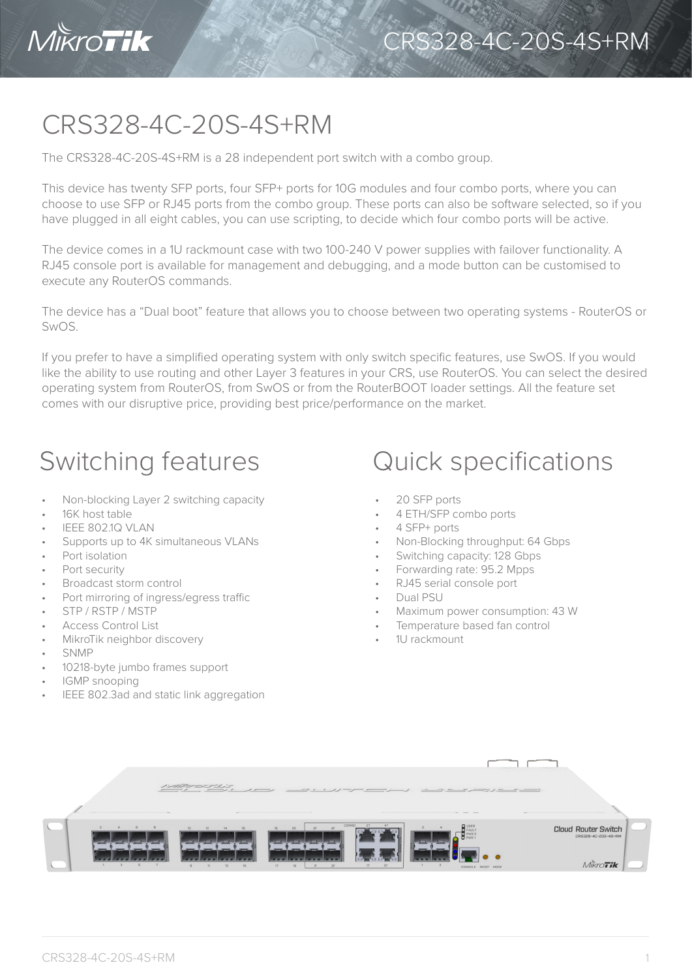

## CRS328-4C-20S-4S+RM

The CRS328-4C-20S-4S+RM is a 28 independent port switch with a combo group.

This device has twenty SFP ports, four SFP+ ports for 10G modules and four combo ports, where you can choose to use SFP or RJ45 ports from the combo group. These ports can also be software selected, so if you have plugged in all eight cables, you can use scripting, to decide which four combo ports will be active.

The device comes in a 1U rackmount case with two 100-240 V power supplies with failover functionality. A RJ45 console port is available for management and debugging, and a mode button can be customised to execute any RouterOS commands.

The device has a "Dual boot" feature that allows you to choose between two operating systems - RouterOS or SwOS.

If you prefer to have a simplified operating system with only switch specific features, use SwOS. If you would like the ability to use routing and other Layer 3 features in your CRS, use RouterOS. You can select the desired operating system from RouterOS, from SwOS or from the RouterBOOT loader settings. All the feature set comes with our disruptive price, providing best price/performance on the market.

- Non-blocking Layer 2 switching capacity
- 16K host table
- IEEE 802.1Q VLAN
- Supports up to 4K simultaneous VLANs
- Port isolation
- Port security
- Broadcast storm control
- Port mirroring of ingress/egress traffic
- STP / RSTP / MSTP
- Access Control List
- MikroTik neighbor discovery
- SNMP
- 10218-byte jumbo frames support
- IGMP snooping
- IEEE 802.3ad and static link aggregation
- Switching features **Quick specifications** 
	- 20 SFP ports
	- 4 ETH/SFP combo ports
	- 4 SFP+ ports
	- Non-Blocking throughput: 64 Gbps
	- Switching capacity: 128 Gbps
	- Forwarding rate: 95.2 Mpps
	- RJ45 serial console port
	- Dual PSU
	- Maximum power consumption: 43 W
	- Temperature based fan control
	- 1U rackmount